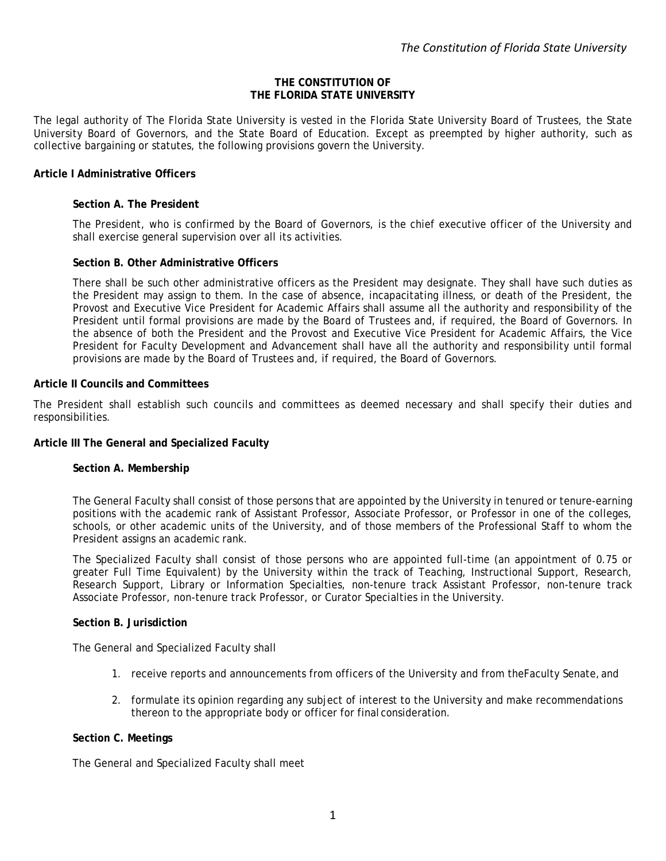### **THE CONSTITUTION OF THE FLORIDA STATE UNIVERSITY**

The legal authority of The Florida State University is vested in the Florida State University Board of Trustees, the State University Board of Governors, and the State Board of Education. Except as preempted by higher authority, such as collective bargaining or statutes, the following provisions govern the University.

# **Article I Administrative Officers**

## **Section A. The President**

The President, who is confirmed by the Board of Governors, is the chief executive officer of the University and shall exercise general supervision over all its activities.

## **Section B. Other Administrative Officers**

There shall be such other administrative officers as the President may designate. They shall have such duties as the President may assign to them. In the case of absence, incapacitating illness, or death of the President, the Provost and Executive Vice President for Academic Affairs shall assume all the authority and responsibility of the President until formal provisions are made by the Board of Trustees and, if required, the Board of Governors. In the absence of both the President and the Provost and Executive Vice President for Academic Affairs, the Vice President for Faculty Development and Advancement shall have all the authority and responsibility until formal provisions are made by the Board of Trustees and, if required, the Board of Governors.

### **Article II Councils and Committees**

The President shall establish such councils and committees as deemed necessary and shall specify their duties and responsibilities.

# **Article III The General and Specialized Faculty**

### **Section A. Membership**

The General Faculty shall consist of those persons that are appointed by the University in tenured or tenure-earning positions with the academic rank of Assistant Professor, Associate Professor, or Professor in one of the colleges, schools, or other academic units of the University, and of those members of the Professional Staff to whom the President assigns an academic rank.

The Specialized Faculty shall consist of those persons who are appointed full-time (an appointment of 0.75 or greater Full Time Equivalent) by the University within the track of Teaching, Instructional Support, Research, Research Support, Library or Information Specialties, non-tenure track Assistant Professor, non-tenure track Associate Professor, non-tenure track Professor, or Curator Specialties in the University.

### **Section B. Jurisdiction**

The General and Specialized Faculty shall

- 1. receive reports and announcements from officers of the University and from theFaculty Senate,and
- 2. formulate its opinion regarding any subject of interest to the University and make recommendations thereon to the appropriate body or officer for final consideration.

### **Section C. Meetings**

The General and Specialized Faculty shall meet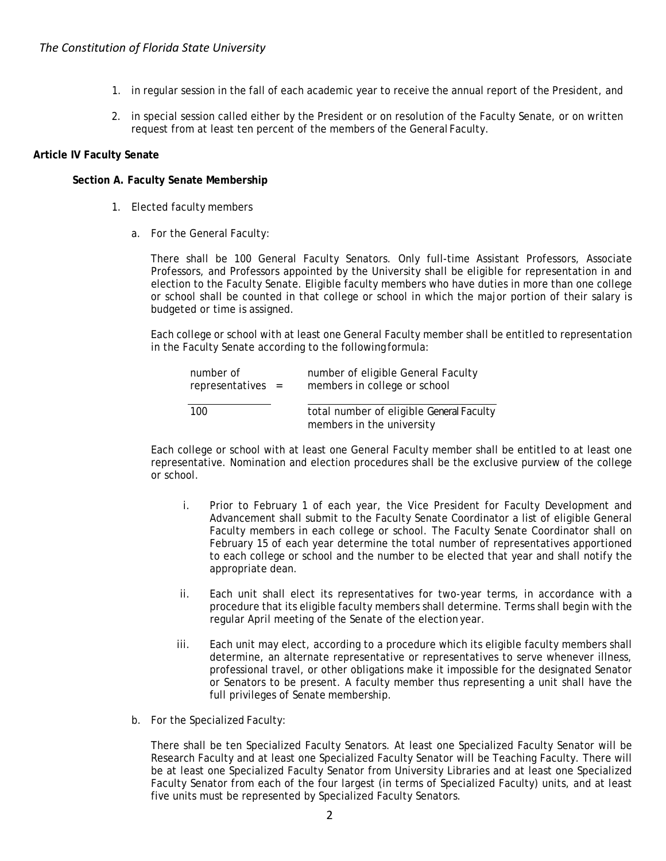- 1. in regular session in the fall of each academic year to receive the annual report of the President, and
- 2. in special session called either by the President or on resolution of the Faculty Senate, or on written request from at least ten percent of the members of the General Faculty.

# **Article IV Faculty Senate**

## **Section A. Faculty Senate Membership**

- 1. Elected faculty members
	- a. For the General Faculty:

There shall be 100 General Faculty Senators. Only full-time Assistant Professors, Associate Professors, and Professors appointed by the University shall be eligible for representation in and election to the Faculty Senate. Eligible faculty members who have duties in more than one college or school shall be counted in that college or school in which the major portion of their salary is budgeted or time is assigned.

Each college or school with at least one General Faculty member shall be entitled to representation in the Faculty Senate according to the following formula:

| number of<br>$represents =$ | number of eligible General Faculty<br>members in college or school    |
|-----------------------------|-----------------------------------------------------------------------|
| 100                         | total number of eligible General Faculty<br>members in the university |

Each college or school with at least one General Faculty member shall be entitled to at least one representative. Nomination and election procedures shall be the exclusive purview of the college or school.

- i. Prior to February 1 of each year, the Vice President for Faculty Development and Advancement shall submit to the Faculty Senate Coordinator a list of eligible General Faculty members in each college or school. The Faculty Senate Coordinator shall on February 15 of each year determine the total number of representatives apportioned to each college or school and the number to be elected that year and shall notify the appropriate dean.
- ii. Each unit shall elect its representatives for two-year terms, in accordance with a procedure that its eligible faculty members shall determine. Terms shall begin with the regular April meeting of the Senate of the election year.
- iii. Each unit may elect, according to a procedure which its eligible faculty members shall determine, an alternate representative or representatives to serve whenever illness, professional travel, or other obligations make it impossible for the designated Senator or Senators to be present. A faculty member thus representing a unit shall have the full privileges of Senate membership.
- b. For the Specialized Faculty:

There shall be ten Specialized Faculty Senators. At least one Specialized Faculty Senator will be Research Faculty and at least one Specialized Faculty Senator will be Teaching Faculty. There will be at least one Specialized Faculty Senator from University Libraries and at least one Specialized Faculty Senator from each of the four largest (in terms of Specialized Faculty) units, and at least five units must be represented by Specialized Faculty Senators.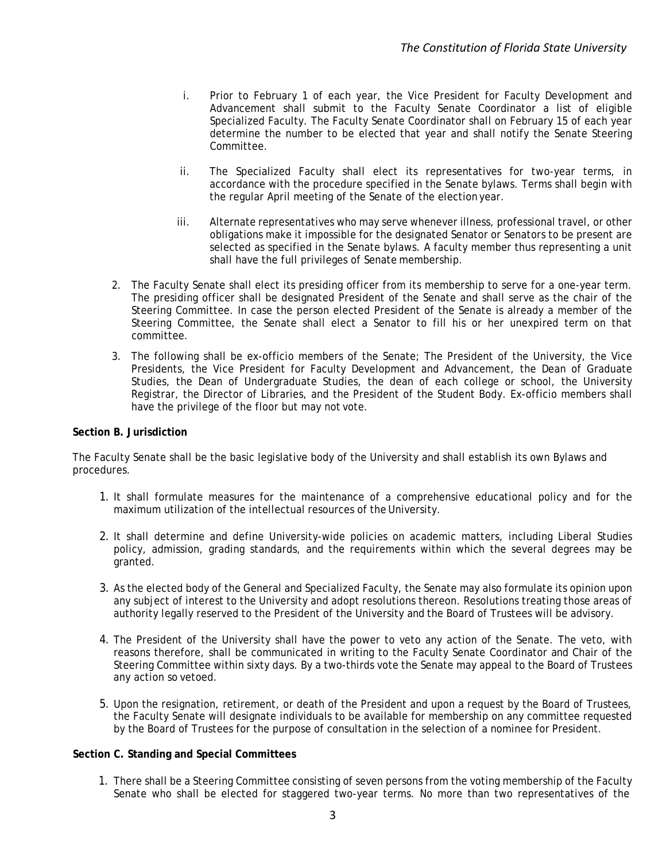- i. Prior to February 1 of each year, the Vice President for Faculty Development and Advancement shall submit to the Faculty Senate Coordinator a list of eligible Specialized Faculty. The Faculty Senate Coordinator shall on February 15 of each year determine the number to be elected that year and shall notify the Senate Steering Committee.
- ii. The Specialized Faculty shall elect its representatives for two-year terms, in accordance with the procedure specified in the Senate bylaws. Terms shall begin with the regular April meeting of the Senate of the election year.
- iii. Alternate representatives who may serve whenever illness, professional travel, or other obligations make it impossible for the designated Senator or Senators to be present are selected as specified in the Senate bylaws. A faculty member thus representing a unit shall have the full privileges of Senate membership.
- 2. The Faculty Senate shall elect its presiding officer from its membership to serve for a one-year term. The presiding officer shall be designated President of the Senate and shall serve as the chair of the Steering Committee. In case the person elected President of the Senate is already a member of the Steering Committee, the Senate shall elect a Senator to fill his or her unexpired term on that committee.
- 3. The following shall be ex-officio members of the Senate; The President of the University, the Vice Presidents, the Vice President for Faculty Development and Advancement, the Dean of Graduate Studies, the Dean of Undergraduate Studies, the dean of each college or school, the University Registrar, the Director of Libraries, and the President of the Student Body. Ex-officio members shall have the privilege of the floor but may not vote.

# **Section B. Jurisdiction**

The Faculty Senate shall be the basic legislative body of the University and shall establish its own Bylaws and procedures.

- 1. It shall formulate measures for the maintenance of a comprehensive educational policy and for the maximum utilization of the intellectual resources of the University.
- 2. It shall determine and define University-wide policies on academic matters, including Liberal Studies policy, admission, grading standards, and the requirements within which the several degrees may be granted.
- 3. As the elected body of the General and Specialized Faculty, the Senate may also formulate its opinion upon any subject of interest to the University and adopt resolutions thereon. Resolutions treating those areas of authority legally reserved to the President of the University and the Board of Trustees will be advisory.
- 4. The President of the University shall have the power to veto any action of the Senate. The veto, with reasons therefore, shall be communicated in writing to the Faculty Senate Coordinator and Chair of the Steering Committee within sixty days. By a two-thirds vote the Senate may appeal to the Board of Trustees any action so vetoed.
- 5. Upon the resignation, retirement, or death of the President and upon a request by the Board of Trustees, the Faculty Senate will designate individuals to be available for membership on any committee requested by the Board of Trustees for the purpose of consultation in the selection of a nominee for President.

### **Section C. Standing and Special Committees**

1. There shall be a Steering Committee consisting of seven persons from the voting membership of the Faculty Senate who shall be elected for staggered two-year terms. No more than two representatives of the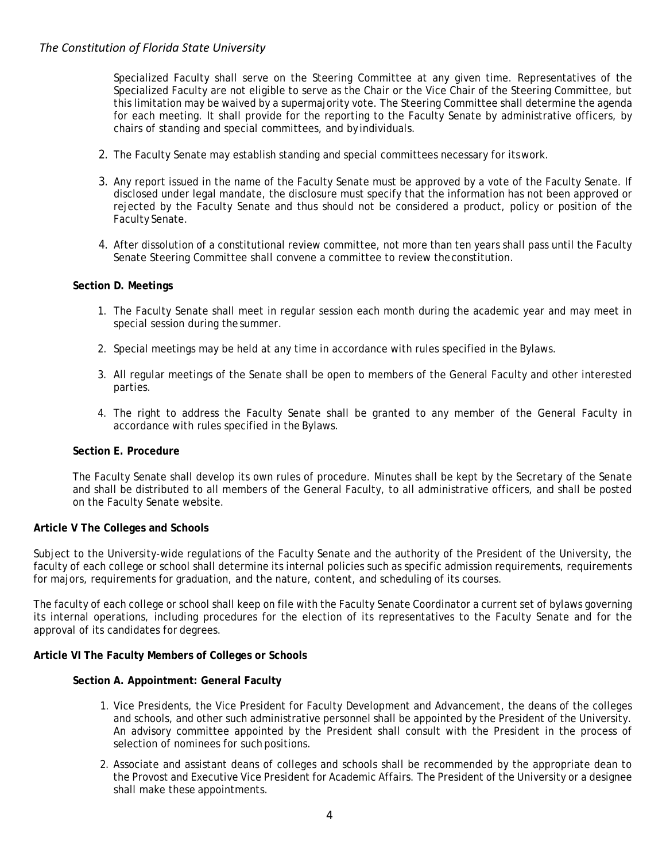# *The Constitution of Florida State University*

Specialized Faculty shall serve on the Steering Committee at any given time. Representatives of the Specialized Faculty are not eligible to serve as the Chair or the Vice Chair of the Steering Committee, but this limitation may be waived by a supermajority vote. The Steering Committee shall determine the agenda for each meeting. It shall provide for the reporting to the Faculty Senate by administrative officers, by chairs of standing and special committees, and by individuals.

- 2. The Faculty Senate may establish standing and special committees necessary for itswork.
- 3. Any report issued in the name of the Faculty Senate must be approved by a vote of the Faculty Senate. If disclosed under legal mandate, the disclosure must specify that the information has not been approved or rejected by the Faculty Senate and thus should not be considered a product, policy or position of the Faculty Senate.
- 4. After dissolution of a constitutional review committee, not more than ten years shall pass until the Faculty Senate Steering Committee shall convene a committee to review theconstitution.

## **Section D. Meetings**

- 1. The Faculty Senate shall meet in regular session each month during the academic year and may meet in special session during the summer.
- 2. Special meetings may be held at any time in accordance with rules specified in the Bylaws.
- 3. All regular meetings of the Senate shall be open to members of the General Faculty and other interested parties.
- 4. The right to address the Faculty Senate shall be granted to any member of the General Faculty in accordance with rules specified in the Bylaws.

### **Section E. Procedure**

The Faculty Senate shall develop its own rules of procedure. Minutes shall be kept by the Secretary of the Senate and shall be distributed to all members of the General Faculty, to all administrative officers, and shall be posted on the Faculty Senate website.

### **Article V The Colleges and Schools**

Subject to the University-wide regulations of the Faculty Senate and the authority of the President of the University, the faculty of each college or school shall determine its internal policies such as specific admission requirements, requirements for majors, requirements for graduation, and the nature, content, and scheduling of its courses.

The faculty of each college or school shall keep on file with the Faculty Senate Coordinator a current set of bylaws governing its internal operations, including procedures for the election of its representatives to the Faculty Senate and for the approval of its candidates for degrees.

### **Article VI The Faculty Members of Colleges or Schools**

### **Section A. Appointment: General Faculty**

- 1. Vice Presidents, the Vice President for Faculty Development and Advancement, the deans of the colleges and schools, and other such administrative personnel shall be appointed by the President of the University. An advisory committee appointed by the President shall consult with the President in the process of selection of nominees for such positions.
- 2. Associate and assistant deans of colleges and schools shall be recommended by the appropriate dean to the Provost and Executive Vice President for Academic Affairs. The President of the University or a designee shall make these appointments.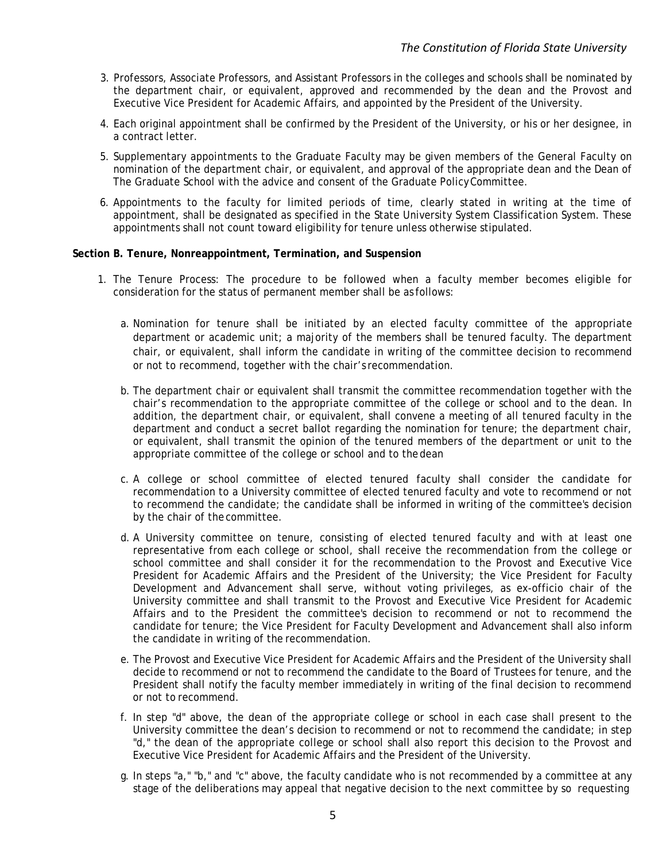- 3. Professors, Associate Professors, and Assistant Professors in the colleges and schools shall be nominated by the department chair, or equivalent, approved and recommended by the dean and the Provost and Executive Vice President for Academic Affairs, and appointed by the President of the University.
- 4. Each original appointment shall be confirmed by the President of the University, or his or her designee, in a contract letter.
- 5. Supplementary appointments to the Graduate Faculty may be given members of the General Faculty on nomination of the department chair, or equivalent, and approval of the appropriate dean and the Dean of The Graduate School with the advice and consent of the Graduate PolicyCommittee.
- 6. Appointments to the faculty for limited periods of time, clearly stated in writing at the time of appointment, shall be designated as specified in the State University System Classification System. These appointments shall not count toward eligibility for tenure unless otherwise stipulated.

## **Section B. Tenure, Nonreappointment, Termination, and Suspension**

- 1. The Tenure Process: The procedure to be followed when a faculty member becomes eligible for consideration for the status of permanent member shall be as follows:
	- a. Nomination for tenure shall be initiated by an elected faculty committee of the appropriate department or academic unit; a majority of the members shall be tenured faculty. The department chair, or equivalent, shall inform the candidate in writing of the committee decision to recommend or not to recommend, together with the chair's recommendation.
	- b. The department chair or equivalent shall transmit the committee recommendation together with the chair's recommendation to the appropriate committee of the college or school and to the dean. In addition, the department chair, or equivalent, shall convene a meeting of all tenured faculty in the department and conduct a secret ballot regarding the nomination for tenure; the department chair, or equivalent, shall transmit the opinion of the tenured members of the department or unit to the appropriate committee of the college or school and to thedean
	- c. A college or school committee of elected tenured faculty shall consider the candidate for recommendation to a University committee of elected tenured faculty and vote to recommend or not to recommend the candidate; the candidate shall be informed in writing of the committee's decision by the chair of thecommittee.
	- d. A University committee on tenure, consisting of elected tenured faculty and with at least one representative from each college or school, shall receive the recommendation from the college or school committee and shall consider it for the recommendation to the Provost and Executive Vice President for Academic Affairs and the President of the University; the Vice President for Faculty Development and Advancement shall serve, without voting privileges, as ex-officio chair of the University committee and shall transmit to the Provost and Executive Vice President for Academic Affairs and to the President the committee's decision to recommend or not to recommend the candidate for tenure; the Vice President for Faculty Development and Advancement shall also inform the candidate in writing of the recommendation.
	- e. The Provost and Executive Vice President for Academic Affairs and the President of the University shall decide to recommend or not to recommend the candidate to the Board of Trustees for tenure, and the President shall notify the faculty member immediately in writing of the final decision to recommend or not to recommend.
	- f. In step "d" above, the dean of the appropriate college or school in each case shall present to the University committee the dean's decision to recommend or not to recommend the candidate; in step "d," the dean of the appropriate college or school shall also report this decision to the Provost and Executive Vice President for Academic Affairs and the President of the University.
	- g. In steps "a," "b," and "c" above, the faculty candidate who is not recommended by a committee at any stage of the deliberations may appeal that negative decision to the next committee by so requesting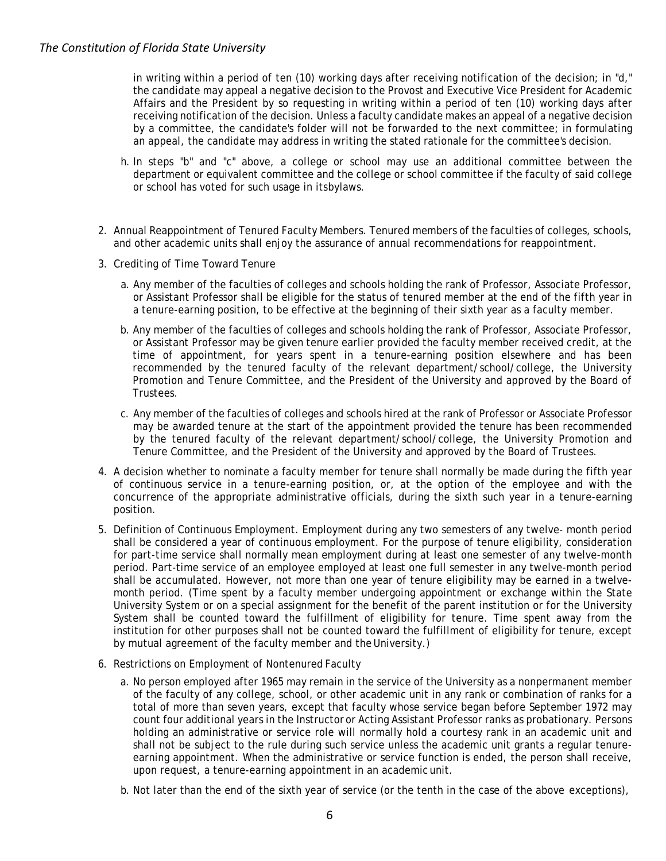in writing within a period of ten (10) working days after receiving notification of the decision; in "d," the candidate may appeal a negative decision to the Provost and Executive Vice President for Academic Affairs and the President by so requesting in writing within a period of ten (10) working days after receiving notification of the decision. Unless a faculty candidate makes an appeal of a negative decision by a committee, the candidate's folder will not be forwarded to the next committee; in formulating an appeal, the candidate may address in writing the stated rationale for the committee's decision.

- h. In steps "b" and "c" above, a college or school may use an additional committee between the department or equivalent committee and the college or school committee if the faculty of said college or school has voted for such usage in itsbylaws.
- 2. Annual Reappointment of Tenured Faculty Members. Tenured members of the faculties of colleges, schools, and other academic units shall enjoy the assurance of annual recommendations for reappointment.
- 3. Crediting of Time Toward Tenure
	- a. Any member of the faculties of colleges and schools holding the rank of Professor, Associate Professor, or Assistant Professor shall be eligible for the status of tenured member at the end of the fifth year in a tenure-earning position, to be effective at the beginning of their sixth year as a faculty member.
	- b. Any member of the faculties of colleges and schools holding the rank of Professor, Associate Professor, or Assistant Professor may be given tenure earlier provided the faculty member received credit, at the time of appointment, for years spent in a tenure-earning position elsewhere and has been recommended by the tenured faculty of the relevant department/school/college, the University Promotion and Tenure Committee, and the President of the University and approved by the Board of Trustees.
	- c. Any member of the faculties of colleges and schools hired at the rank of Professor or Associate Professor may be awarded tenure at the start of the appointment provided the tenure has been recommended by the tenured faculty of the relevant department/school/college, the University Promotion and Tenure Committee, and the President of the University and approved by the Board of Trustees.
- 4. A decision whether to nominate a faculty member for tenure shall normally be made during the fifth year of continuous service in a tenure-earning position, or, at the option of the employee and with the concurrence of the appropriate administrative officials, during the sixth such year in a tenure-earning position.
- 5. Definition of Continuous Employment. Employment during any two semesters of any twelve- month period shall be considered a year of continuous employment. For the purpose of tenure eligibility, consideration for part-time service shall normally mean employment during at least one semester of any twelve-month period. Part-time service of an employee employed at least one full semester in any twelve-month period shall be accumulated. However, not more than one year of tenure eligibility may be earned in a twelvemonth period. (Time spent by a faculty member undergoing appointment or exchange within the State University System or on a special assignment for the benefit of the parent institution or for the University System shall be counted toward the fulfillment of eligibility for tenure. Time spent away from the institution for other purposes shall not be counted toward the fulfillment of eligibility for tenure, except by mutual agreement of the faculty member and the University.)
- 6. Restrictions on Employment of Nontenured Faculty
	- a. No person employed after 1965 may remain in the service of the University as a nonpermanent member of the faculty of any college, school, or other academic unit in any rank or combination of ranks for a total of more than seven years, except that faculty whose service began before September 1972 may count four additional years in the Instructor or Acting Assistant Professor ranks as probationary. Persons holding an administrative or service role will normally hold a courtesy rank in an academic unit and shall not be subject to the rule during such service unless the academic unit grants a regular tenureearning appointment. When the administrative or service function is ended, the person shall receive, upon request, a tenure-earning appointment in an academic unit.
	- b. Not later than the end of the sixth year of service (or the tenth in the case of the above exceptions),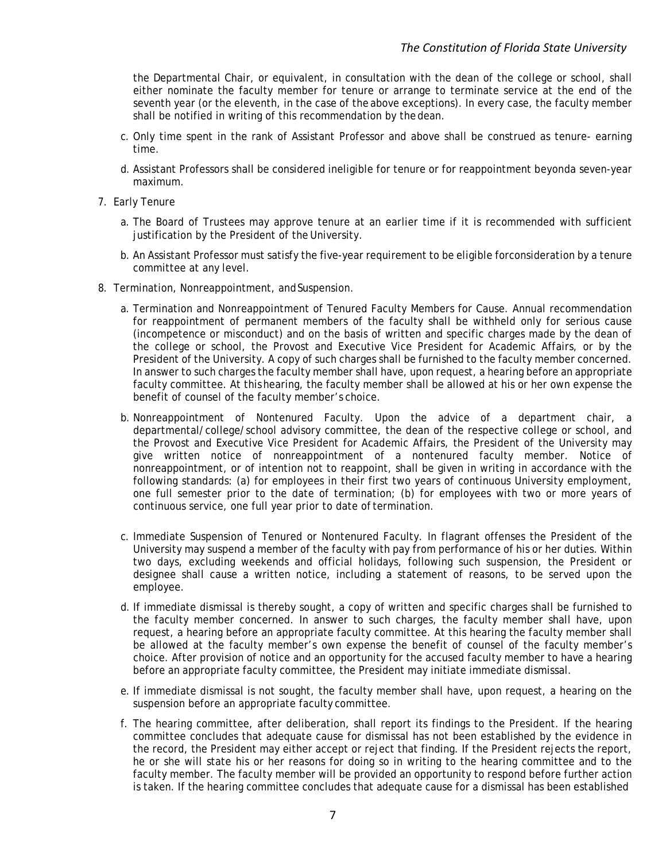the Departmental Chair, or equivalent, in consultation with the dean of the college or school, shall either nominate the faculty member for tenure or arrange to terminate service at the end of the seventh year (or the eleventh, in the case of the above exceptions). In every case, the faculty member shall be notified in writing of this recommendation by the dean.

- c. Only time spent in the rank of Assistant Professor and above shall be construed as tenure- earning time.
- d. Assistant Professors shall be considered ineligible for tenure or for reappointment beyonda seven-year maximum.
- 7. Early Tenure
	- a. The Board of Trustees may approve tenure at an earlier time if it is recommended with sufficient justification by the President of the University.
	- b. An Assistant Professor must satisfy the five-year requirement to be eligible forconsideration by a tenure committee at any level.
- 8. Termination, Nonreappointment, and Suspension.
	- a. Termination and Nonreappointment of Tenured Faculty Members for Cause. Annual recommendation for reappointment of permanent members of the faculty shall be withheld only for serious cause (incompetence or misconduct) and on the basis of written and specific charges made by the dean of the college or school, the Provost and Executive Vice President for Academic Affairs, or by the President of the University. A copy of such charges shall be furnished to the faculty member concerned. In answer to such charges the faculty member shall have, upon request, a hearing before an appropriate faculty committee. At thishearing, the faculty member shall be allowed at his or her own expense the benefit of counsel of the faculty member's choice.
	- b. Nonreappointment of Nontenured Faculty. Upon the advice of a department chair, a departmental/college/school advisory committee, the dean of the respective college or school, and the Provost and Executive Vice President for Academic Affairs, the President of the University may give written notice of nonreappointment of a nontenured faculty member. Notice of nonreappointment, or of intention not to reappoint, shall be given in writing in accordance with the following standards: (a) for employees in their first two years of continuous University employment, one full semester prior to the date of termination; (b) for employees with two or more years of continuous service, one full year prior to date of termination.
	- c. Immediate Suspension of Tenured or Nontenured Faculty. In flagrant offenses the President of the University may suspend a member of the faculty with pay from performance of his or her duties. Within two days, excluding weekends and official holidays, following such suspension, the President or designee shall cause a written notice, including a statement of reasons, to be served upon the employee.
	- d. If immediate dismissal is thereby sought, a copy of written and specific charges shall be furnished to the faculty member concerned. In answer to such charges, the faculty member shall have, upon request, a hearing before an appropriate faculty committee. At this hearing the faculty member shall be allowed at the faculty member's own expense the benefit of counsel of the faculty member's choice. After provision of notice and an opportunity for the accused faculty member to have a hearing before an appropriate faculty committee, the President may initiate immediate dismissal.
	- e. If immediate dismissal is not sought, the faculty member shall have, upon request, a hearing on the suspension before an appropriate faculty committee.
	- f. The hearing committee, after deliberation, shall report its findings to the President. If the hearing committee concludes that adequate cause for dismissal has not been established by the evidence in the record, the President may either accept or reject that finding. If the President rejects the report, he or she will state his or her reasons for doing so in writing to the hearing committee and to the faculty member. The faculty member will be provided an opportunity to respond before further action is taken. If the hearing committee concludes that adequate cause for a dismissal has been established